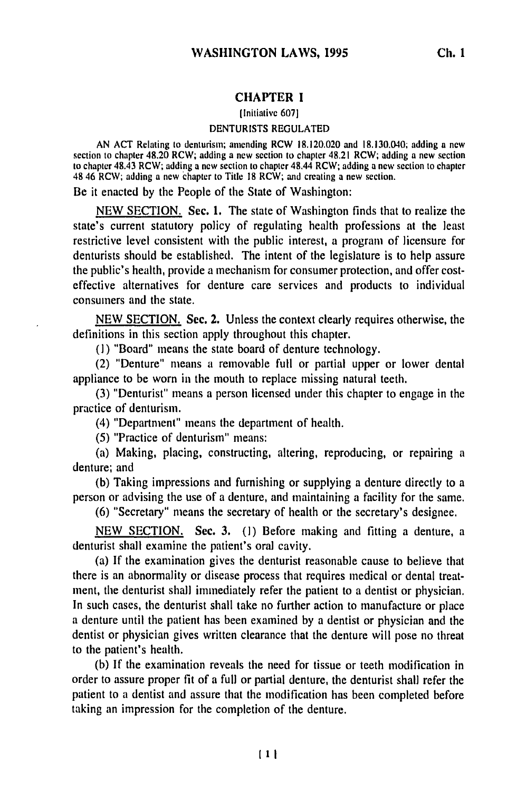## **CHAPTER 1**

[Initiative **607]**

## **DENTURISTS REGULATED**

AN **ACT** Relating to denturisin; amending RCW **18.120.020** and 18.130.040; adding a new section **to** chapter 48.20 RCW; adding a new section to chapter 48.21 RCW; adding **a** new section to chapter 48.43 RCW; adding a new section to chapter 48.44 RCW; adding a new section to chapter 48 46 RCW; adding a new chapter to Title **18** RCW; and creating a new section.

Be it enacted **by** the People of the State of Washington:

NEW **SECTION. Sec. 1.** The state of Washington finds that to realize the state's current statutory policy of regulating health professions at the least restrictive level consistent with the public interest, a program of licensure for denturists should be established. The intent of the legislature is to help assure the public's health, provide a mechanism for consumer protection, and offer costeffective alternatives for denture care services and products to individual consumers and the state.

NEW SECTION. Sec. 2. Unless the context clearly requires otherwise, the definitions in this section apply throughout this chapter.

(I) "Board" means the state board of denture technology.

(2) "Denture" means a removable full or partial upper or lower dental appliance to be worn in the mouth to replace missing natural teeth.

(3) "Denturist" means a person licensed under this chapter to engage in the practice of denturism.

(4) "Department" means the department of health.

(5) "Practice of denturism" means:

(a) Making, placing, constructing, altering, reproducing, or repairing a denture; and

(b) Taking impressions and furnishing or supplying a denture directly to a person or advising the use of a denture, and maintaining a facility for the same.

(6) "Secretary" means the secretary of health or the secretary's designee.

NEW SECTION. Sec. 3. (1) Before making and fitting a denture, a denturist shall examine the patient's oral cavity.

(a) If the examination gives the denturist reasonable cause to believe that there is an abnormality or disease process that requires medical or dental treatment, the denturist shall immediately refer the patient to a dentist or physician. In such cases, the denturist shall take no further action to manufacture or place a denture until the patient has been examined by a dentist or physician and the dentist or physician gives written clearance that the denture will pose no threat to the patient's health.

(b) If the examination reveals the need for tissue or teeth modification in order to assure proper fit of a full or partial denture, the denturist shall refer the patient to a dentist and assure that the modification has been completed before taking an impression for the completion of the denture.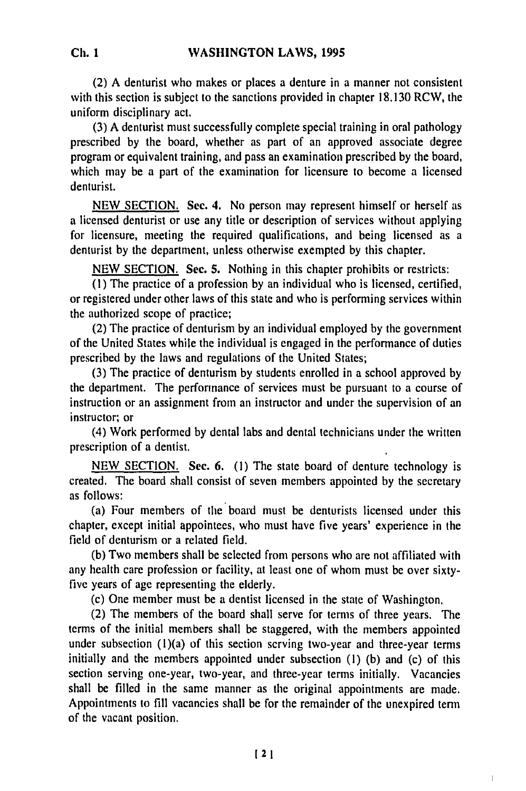(2) **A** denturist who makes or places a denture in a manner not consistent with this section is subject to the sanctions provided in chapter 18.130 RCW, the uniform disciplinary act.

(3) A denturist must successfully complete special training in oral pathology prescribed by the board, whether as part of an approved associate degree program or equivalent training, and pass an examination prescribed by the board, which may be a part of the examination for licensure to become a licensed denturist.

NEW SECTION. Sec. **4.** No person may represent himself or herself as a licensed denturist or use any title or description of services without applying for licensure, meeting the required qualifications, and being licensed as a denturist by the department, unless otherwise exempted by this chapter.

NEW SECTION. Sec. **5.** Nothing in this chapter prohibits or restricts:

(1) The practice of a profession by an individual who is licensed, certified, or registered under other laws of this state and who is performing services within the authorized scope of practice;

(2) The practice of denturism by an individual employed by the government of the United States while the individual is engaged in the performance of duties prescribed by the laws and regulations of the United States;

(3) The practice of denturism by students enrolled in a school approved by the department. The performance of services must be pursuant to a course of instruction or an assignment from an instructor and under the supervision of an instructor; or

(4) Work performed by dental labs and dental technicians under the written prescription of a dentist.

NEW SECTION. **Sec,** 6. (I) The state board of denture technology is created. The board shall consist of seven members appointed by the secretary as follows:

(a) Four members of the board must be denturists licensed under this chapter, except initial appointees, who must have five years' experience in the field of denturism or a related field.

(b) Two members shall be selected from persons who are not affiliated with any health care profession or facility, at least one of whom must be over sixtyfive years of age representing the elderly.

(c) One member must be a dentist licensed in the state of Washington.

(2) The members of the board shall serve for terms of three years. The terms of the initial members shall be staggered, with the members appointed under subsection  $(1)(a)$  of this section scrving two-year and three-year terms initially and the members appointed under subsection (1) (b) and (c) of this section serving one-year, two-year, and three-year terms initially. Vacancies shall be filled in the same manner as the original appointments are made. Appointments to fill vacancies shall be for the remainder of the unexpired term of the vacant position.

 $\overline{1}$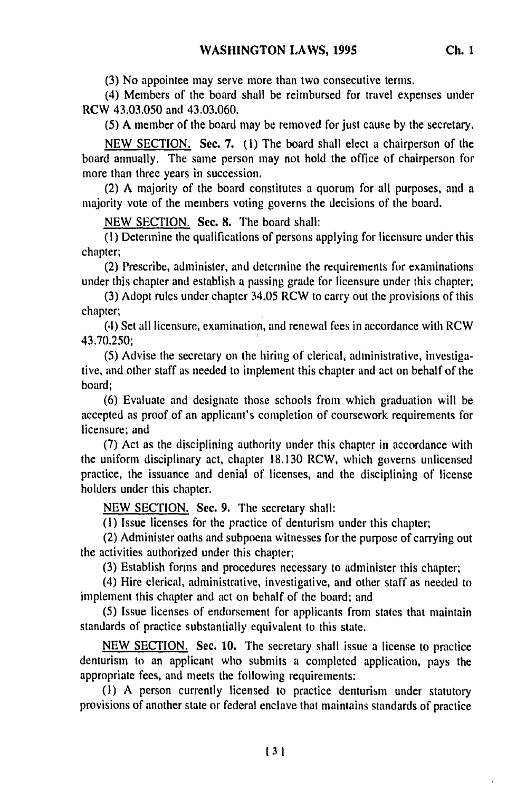**(3)** No appointee may serve more than two consecutive terms.

(4) Members of the board shall be reimbursed for travel expenses under RCW 43.03.050 and 43.03.060.

(5) A member of the board may be removed for just cause by the secretary.

NEW SECTION. Sec. 7. **(1)** The board shall elect a chairperson of the board annually. The same person may not hold the office of chairperson for more than three years in succession.

(2) A majority of the board constitutes a quorum for all purposes, and a majority vote of the members voting governs the decisions of the board.

NEW SECTION. See. 8. The board shall:

**(1)** Determine the qualifications of persons applying for licensure under this chapter;

(2) Prescribe, administer, and determine the requirements for examinations under this chapter and establish a passing grade for licensure under this chapter;

(3) Adopt rules under chapter 34.05 RCW to carry out the provisions of this chapter;

(4) Set all licensure, examination, and renewal fees in accordance with RCW 43.70.250;

(5) Advise the secretary on the hiring of clerical, administrative, investigative, and other staff as needed to implement this chapter and act on behalf of the board;

(6) Evaluate and designate those schools from which graduation will be accepted as proof of an applicant's completion of coursework requirements for licensure; and

(7) Act as the disciplining authority under this chapter in accordance with the uniform disciplinary act, chapter 18.130 RCW, which governs unlicensed practice, the issuance and denial of licenses, and the disciplining of license holders under this chapter.

NEW SECTION. Sec. **9.** The secretary shall:

(I) Issue licenses for the practice of denturism under this chapter;

(2) Administer oaths and subpoena witnesses for the purpose of carrying out the activities authorized under this chapter;

(3) Establish forms and procedures necessary to administer this chapter;

(4) Hire clerical, administrative, investigative, and other staff as needed to implement this chapter and act on behalf of the board; and

(5) Issue licenses of endorsement for applicants from states that maintain standards of practice substantially equivalent to this state.

NEW SECTION. Sec. 10. The secretary shall issue a license to practice denturism to an applicant who submits a completed application, pays the appropriate fees, and meets the following requirements:

**(1)** A person currently licensed to practice denturism under statutory provisions of another state or federal enclave that maintains standards of practice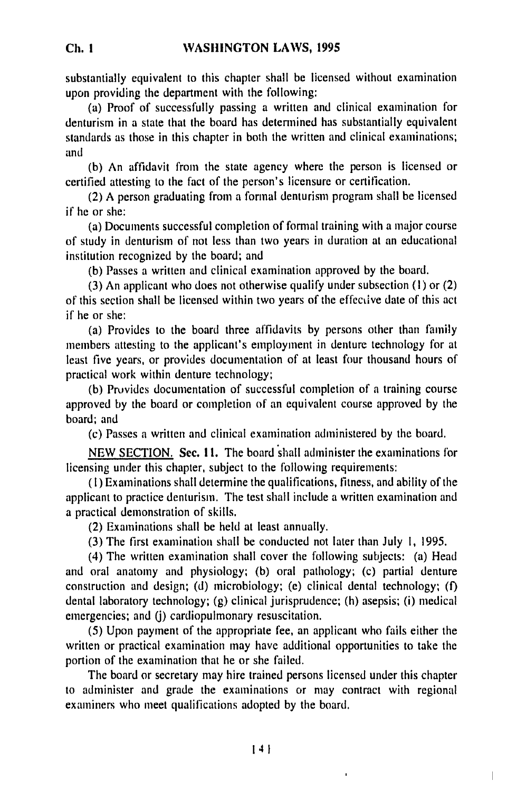substantially equivalent to this chapter shall be licensed without examination upon providing the department with the following:

(a) Proof of successfully passing a written and clinical examination for denturism in a state that the board has determined has substantially equivalent standards as those in this chapter in both the written and clinical examinations; and

**(b)** An affidavit from the state agency where the person is licensed or certified attesting to the fact of the person's licensure or certification.

(2) A person graduating from a formal denturism program shall be licensed if he or she:

(a) Documents successful completion of formal training with a major course of study in denturism of not less than two years in duration at an educational institution recognized by the board; and

(b) Passes a written and clinical examination approved by the board.

(3) An applicant who does not otherwise qualify under subsection (I) or (2) of this section shall be licensed within two years of the effective date of this act if he or she:

(a) Provides to the board three affidavits by persons other than family members attesting to the applicant's employment in denture technology for at least five years, or provides documentation of at least four thousand hours of practical work within denture technology;

(b) Provides documentation of successful completion of a training course approved by the board or completion of an equivalent course approved by the board; and

(c) Passes a written and clinical examination administered by the board.

NEW SECTION. **Sec. 11.** The board shall administer the examinations for licensing under this chapter, subject to the following requirements:

(I) Examinations shall determine the qualifications, fitness, and ability of the applicant to practice denturism. The test shall include a written examination and a practical demonstration of skills.

(2) Examinations shall be held at least annually.

(3) The first examination shall be conducted not later than July **1,** 1995.

(4) The written examination shall cover the following subjects: (a) Head and oral anatomy and physiology; (b) oral pathology; (c) partial denture construction and design; (d) microbiology; (e) clinical dental technology; **(f)** dental laboratory technology; (g) clinical jurisprudence; (h) asepsis; (i) medical emergencies; and *(j)* cardiopulmonary resuscitation.

(5) Upon payment of the appropriate fee, an applicant who fails either the written or practical examination may have additional opportunities to take the portion of the examination that he or she failed.

The board or secretary may hire trained persons licensed under this chapter to administer and grade the examinations or may contract with regional examiners who meet qualifications adopted by the board.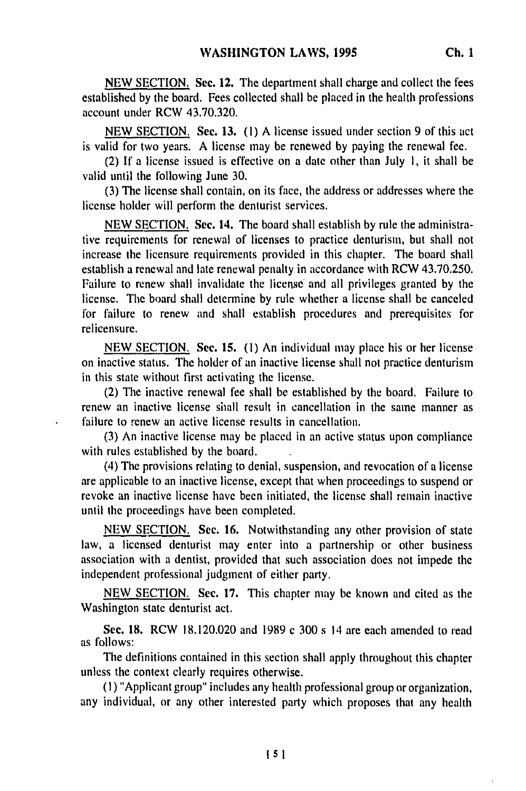NEW SECTION. **See.** 12. The department shall charge and collect the fees established by the board. Fees collected shall be placed in the health professions account under RCW 43.70.320.

NEW SECTION. Sec. 13. (1) A license issued under section 9 of this act is valid for two years. A license may be renewed by paying the renewal fee.

(2) If a license issued is effective on a date other than July **1,** it shall be valid until the following June 30.

(3) The license shall contain, on its face, the address or addresses where the license holder will perform the denturist services.

NEW SECTION. Sec. **14.** The board shall establish by rule the administrative requirements for renewal of licenses to practice denturism, but shall not increase the licensure requirements provided in this chapter. The board shall establish a renewal and late renewal penalty in accordance with RCW 43.70.250. Failure to renew shall invalidate the license and all privileges granted by the license. The board shall determine by rule whether a license shall be canceled for failure to renew and shall establish procedures and prerequisites for relicensure.

NEW SECTION. Sec. **15.** (1) An individual may place his or her license on inactive status. The holder of an inactive license shall not practice denturism in this state without first activating the license.

(2) The inactive renewal fee shall be established by the board. Failure to renew an inactive license shall result in cancellation in the same manner as failure to renew an active license results in cancellation.

(3) An inactive license may be placed in an active status upon compliance with rules established by the board.

(4) The provisions relating to denial, suspension, and revocation of a license are applicable to an inactive license, except that when proceedings to suspend or revoke an inactive license have been initiated, the license shall remain inactive until the proceedings have been completed.

NEW SECTION. Sec. **16.** Notwithstanding any other provision of state law, a licensed denturist may enter into a partnership or other business association with a dentist, provided that such association does not impede the independent professional judgment of either party.

NEW SECTION. Sec. 17. This chapter may be known and cited as the Washington state denturist act.

**See.** 18. RCW 18.120.020 and 1989 c 300 s 14 are each amended to read as follows:

The definitions contained in this section shall apply throughout this chapter unless the context clearly requires otherwise.

(I) "Applicant group" includes any health professional group or organization, any individual, or any other interested party which proposes that any health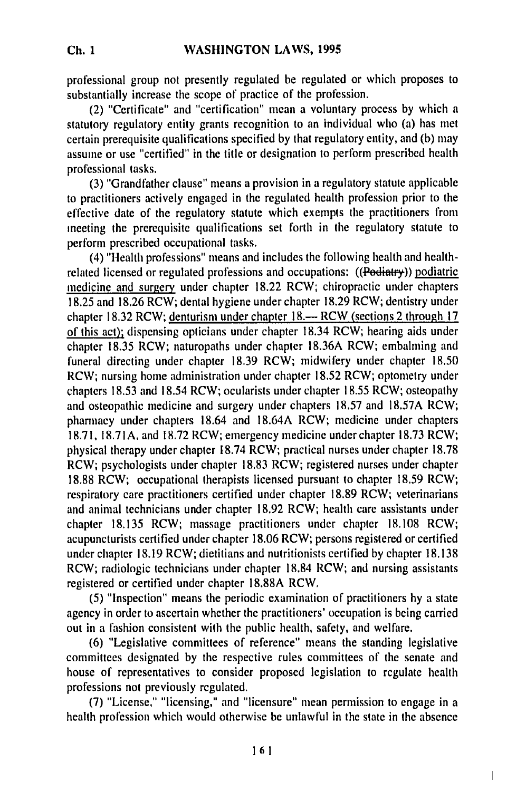**Ch. I**

professional group not presently regulated be regulated or which proposes to substantially increase the scope of practice of the profession.

(2) "Certificate" and "certification" mean a voluntary process by which a statutory regulatory entity grants recognition to an individual who (a) has met certain prerequisite qualifications specified by that regulatory entity, and (b) may assume or use "certified" in the title or designation to perform prescribed health professional tasks.

(3) "Grandfather clause" means a provision in a regulatory statute applicable to practitioners actively engaged in the regulated health profession prior to the effective date of the regulatory statute which exempts the practitioners from meeting the prerequisite qualifications set forth in the regulatory statute to perform prescribed occupational tasks.

(4) "Health professions" means and includes the following health and healthrelated licensed or regulated professions and occupations: ((Podiatry)) podiatric medicine and surgery under chapter 18.22 RCW; chiropractic under chapters 18.25 and 18.26 RCW; dental hygiene under chapter 18.29 RCW; dentistry under chapter 18.32 RCW; denturism under chapter 18.— RCW (sections 2 through 17 of this act); dispensing opticians under chapter 18.34 RCW; hearing aids under chapter 18.35 RCW; naturopaths under chapter 18.36A RCW; embalming and funeral directing under chapter 18.39 RCW; midwifery under chapter 18.50 RCW; nursing home administration under chapter 18.52 RCW; optometry under chapters 18.53 and 18.54 RCW; ocularists under chapter 18.55 RCW; osteopathy and osteopathic medicine and surgery under chapters 18.57 and 18.57A RCW; pharmacy under chapters 18.64 and 18.64A RCW; medicine under chapters 18.71, 18.71A. and 18.72 RCW; emergency medicine under chapter 18.73 RCW; physical therapy under chapter 18.74 RCW; practical nurses under chapter 18.78 RCW; psychologists under chapter 18.83 RCW; registered nurses under chapter 18.88 RCW; occupational therapists licensed pursuant to chapter 18.59 RCW; respiratory care practitioners certified under chapter 18.89 RCW; veterinarians and animal technicians under chapter 18.92 RCW; health care assistants under chapter 18.135 RCW; massage practitioners under chapter 18.108 RCW; acupuncturists certified under chapter 18.06 RCW; persons registered or certified under chapter 18.19 RCW; dietitians and nutritionists certified by chapter 18.138 RCW; radiologic technicians under chapter 18.84 RCW; and nursing assistants registered or certified under chapter 18.88A RCW.

(5) "Inspection" means the periodic examination of practitioners by a state agency in order to ascertain whether the practitioners' occupation is being carried out in a fashion consistent with the public health, safety, and welfare.

(6) "Legislative committees of reference" means the standing legislative committees designated by the respective rules committees of the senate and house of representatives to consider proposed legislation to regulate health professions not previously regulated.

(7) "License,' "licensing," and "licensure" mean permission to engage in a health profession which would otherwise be unlawful in the state in the absence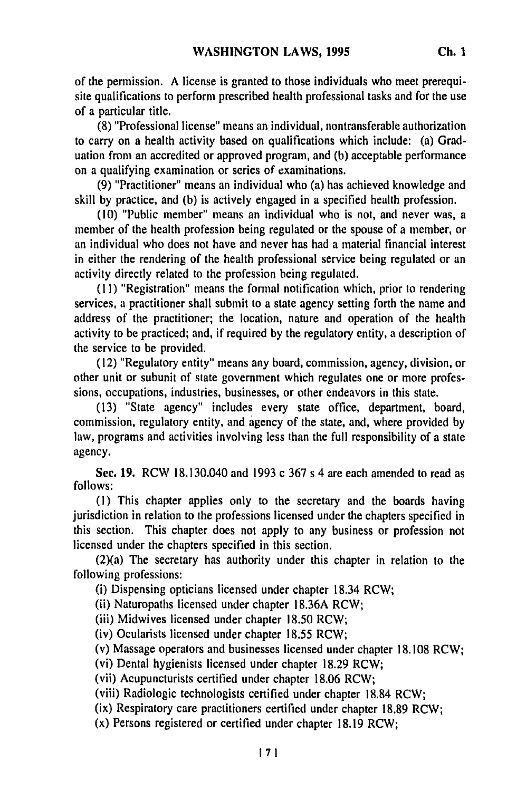of the permission. A license is granted to those individuals who meet prerequisite qualifications to perform prescribed health professional tasks and for the use of a particular title.

**(8)** "Professional license" means an individual, nontransferable authorization to carry on a health activity based on qualifications which include: (a) Graduation from an accredited or approved program, and **(b)** acceptable performance on a qualifying examination or series of examinations.

**(9)** "Practitioner" means an individual who (a) has achieved knowledge and skill **by** practice, and **(b)** is actively engaged in a specified health profession.

**(10)** "Public member" means an individual who is not, and never was, a member of the health profession being regulated or the spouse of a member, or an individual who does not have and never has had a material financial interest in either the rendering of the health professional service being regulated or an activity directly related to the profession being regulated.

**(11)** "Registration" means the formal notification which, prior to rendering services, a practitioner shall submit to a state agency setting forth the name and address of the practitioner; the location, nature and operation of the health activity to be practiced; and, if required **by** the regulatory entity, a description of the service to be provided.

**(12)** "Regulatory entity" means any board, commission, agency, division, or other unit or subunit of state government which regulates one or more professions, occupations, industries, businesses, or other endeavors in this state.

**(13)** "State agency" includes every state office, department, board, commission, regulatory entity, and agency of the state, and, where provided **by** law, programs and activities involving less than the full responsibility of a state agency.

Sec. **19,** RCW 18.130.040 and **1993** c **367** s 4 are each amended to read as **follows:**

**(I)** This chapter applies only to the secretary and the boards having jurisdiction in relation to the professions licensed under the chapters specified in this section. This chapter does not apply to any business or profession not licensed under the chapters specified in this section.

(2)(a) The secretary has authority under this chapter in relation to the following professions:

(i) Dispensing opticians licensed under chapter 18.34 RCW;

(ii) Naturopaths licensed under chapter **18.36A** RCW;

(iii) Midwives licensed under chapter **18.50** RCW;

(iv) Ocularists licensed under chapter **18.55** RCW;

(v) Massage operators and businesses licensed under chapter **18.108** RCW;

(vi) Dental hygienists licensed under chapter **18.29** RCW;

(vii) Acupuncturists certified under chapter **18,06** RCW;

(viii) Radiologic technologists certified under chapter **18.84** RCW;

(ix) Respiratory care practitioners certified under chapter **18.89** RCW;

(x) Persons registered or certified under chapter **18.19** RCW;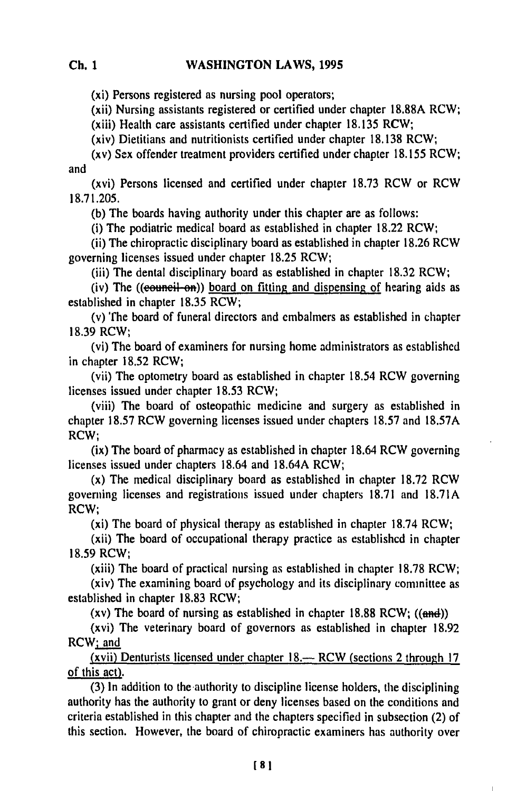(xi) Persons registered as nursing pool operators;

(xii) Nursing assistants registered or certified under chapter 18.88A RCW;

(xiii) Health care assistants certified under chapter 18.135 RCW;

(xiv) Dietitians and nutritionists certified under chapter 18.138 RCW;

(xv) Sex offender treatment providers certified under chapter 18.155 RCW; and

(xvi) Persons licensed and certified under chapter **18.73** RCW or RCW 18.71.205.

(b) The boards having authority under this chapter are as follows:

(i) The podiatric medical board as established in chapter 18.22 RCW;

(ii) The chiropractic disciplinary board as established in chapter **18.26** RCW governing licenses issued under chapter 18.25 RCW;

(iii) The dental disciplinary board as established in chapter 18.32 RCW;

(iv) The ((equivaluation)) board on fitting and dispensing of hearing aids as established in chapter 18.35 RCW;

(v) The board of funeral directors and embalmers as established in chapter 18.39 RCW;

(vi) The board of examiners for nursing home administrators as established in chapter 18.52 RCW;

(vii) The optometry board as established in chapter 18.54 RCW governing licenses issued under chapter 18.53 RCW;

(viii) The board of osteopathic medicine and surgery as established in chapter 18.57 RCW governing licenses issued under chapters 18.57 and 18.57A RCW;

(ix) The board of pharmacy as established in chapter 18.64 RCW governing licenses issued under chapters 18.64 and 18.64A RCW;

(x) The medical disciplinary board as established in chapter 18.72 RCW governing licenses and registrations issued under chapters 18.71 and **18.71A** RCW;

(xi) The board of physical therapy as established in chapter 18.74 RCW;

(xii) The board of occupational therapy practice as established in chapter 18.59 RCW;

(xiii) The board of practical nursing as established in chapter 18.78 RCW;

(xiv) The examining board of psychology and its disciplinary committee as established in chapter **18.83** RCW;

(xv) The board of nursing as established in chapter  $18.88$  RCW; ((and))

(xvi) The veterinary board of governors as established in chapter 18.92  $RCW_i$  and

(xvii) Denturists licensed under chapter 18.— RCW (sections 2 through 17 of this act).

(3) In addition to the-authority to discipline license holders, the disciplining authority has the authority to grant or deny licenses based on the conditions and criteria established in this chapter and the chapters specified in subsection (2) of this section. However, the board of chiropractic examiners has authority over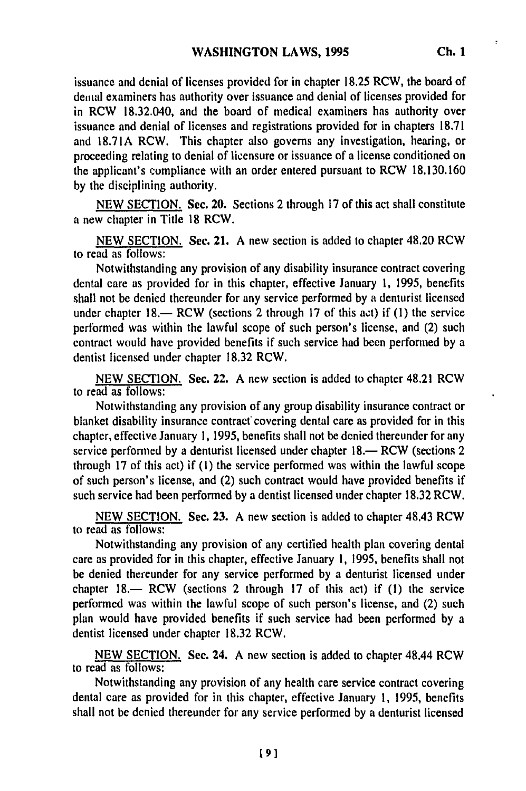issuance and denial of licenses provided for in chapter **18.25** RCW, the board of dental examiners has authority over issuance and denial of licenses provided for in RCW 18.32.040, and the board of medical examiners has authority over issuance and denial of licenses and registrations provided for in chapters **18.71** and **18.71A** RCW. This chapter also governs any investigation, hearing, or proceeding relating to denial of licensure or issuance of a license conditioned on the applicant's compliance with an order entered pursuant to RCW **18.130.160 by** the disciplining authority.

**NEW SECTION.** Sec. 20. Sections 2 through **17** of this act shall constitute a new chapter in Title **18** RCW.

**NEW SECTION.** Sec. 21. **A** new section is added to chapter 48.20 RCW to read as follows:

Notwithstanding any provision of any disability insurance contract covering dental care as provided for in this chapter, effective January **1, 1995,** benefits shall not be denied thereunder for any service performed **by** a denturist licensed under chapter **18.-** RCW (sections 2 through **17** of this act) if **(1)** the service performed was within the lawful scope of such person's license, and (2) such contract would have provided benefits if such service had been performed **by** a dentist licensed under chapter **18.32** RCW.

NEW **SECTION.** Sec. 22. **A** new section is added to chapter 48,21 RCW to read as follows:

Notwithstanding any provision of any group disability insurance contract or blanket disability insurance contract covering dental care as provided for in this chapter, effective January **1, 1995,** benefits shall not be denied thereunder for any service performed by a denturist licensed under chapter  $18$ .— RCW (sections 2) through **17** of this act) if **(1)** the service performed was within the lawful scope of such person's license, and (2) such contract would have provided benefits if such service had been performed **by** a dentist licensed under chapter **18.32** RCW.

**NEW SECTION.** Sec. **23. A** new section is added to chapter 48.43 RCW to read as follows:

Notwithstanding any provision of any certified health plan covering dental care as provided for in this chapter, effective January **1, 1995,** benefits shall not be denied thereunder for any service performed **by** a denturist licensed under chapter  $18$ — RCW (sections 2 through 17 of this act) if  $(1)$  the service performed was within the lawful scope of such person's license, and (2) such plan would have provided benefits if such service had been performed by a dentist licensed under chapter 18.32 RCW.

NEW SECTION. Sec. 24, A new section is added to chapter 48.44 RCW to read as follows:

Notwithstanding any provision of any health care service contract covering dental care as provided for in this chapter, effective January 1, 1995, benefits shall not be denied thereunder for any service performed by a denturist licensed